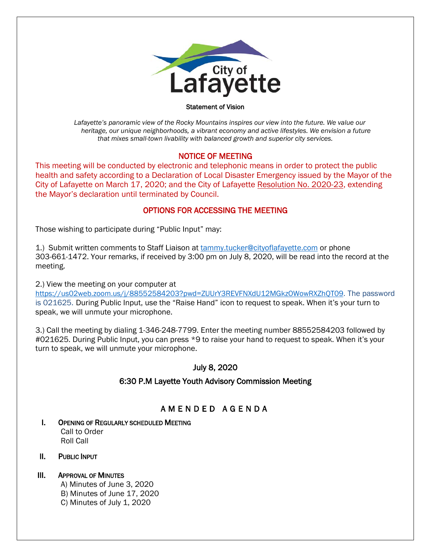

#### Statement of Vision

 *Lafayette's panoramic view of the Rocky Mountains inspires our view into the future. We value our heritage, our unique neighborhoods, a vibrant economy and active lifestyles. We envision a future that mixes small-town livability with balanced growth and superior city services.*

### NOTICE OF MEETING

This meeting will be conducted by electronic and telephonic means in order to protect the public health and safety according to a Declaration of Local Disaster Emergency issued by the Mayor of the City of Lafayette on March 17, 2020; and the City of Lafayette Resolution No. 2020-23, extending the Mayor's declaration until terminated by Council.

### OPTIONS FOR ACCESSING THE MEETING

Those wishing to participate during "Public Input" may:

1.) Submit written comments to Staff Liaison at **[tammy.tucker@cityoflafayette.com](mailto:tammy.tucker@cityoflafayette.com)** or phone 303-661-1472. Your remarks, if received by 3:00 pm on July 8, 2020, will be read into the record at the meeting.

2.) View the meeting on your computer at

[https://us02web.zoom.us/j/88552584203?pwd=ZUUrY3REVFNXdU12MGkzOWowRXZhQT09.](https://us02web.zoom.us/j/88552584203?pwd=ZUUrY3REVFNXdU12MGkzOWowRXZhQT09) The password is 021625. During Public Input, use the "Raise Hand" icon to request to speak. When it's your turn to speak, we will unmute your microphone.

3.) Call the meeting by dialing 1-346-248-7799. Enter the meeting number 88552584203 followed by #021625. During Public Input, you can press \*9 to raise your hand to request to speak. When it's your turn to speak, we will unmute your microphone.

## July 8, 2020

## 6:30 P.M Layette Youth Advisory Commission Meeting

# AMENDED AGENDA

- I. OPENING OF REGULARLY SCHEDULED MEETING Call to Order Roll Call
- II. PUBLIC INPUT

### III. APPROVAL OF MINUTES

- A) Minutes of June 3, 2020
- B) Minutes of June 17, 2020
- C) Minutes of July 1, 2020